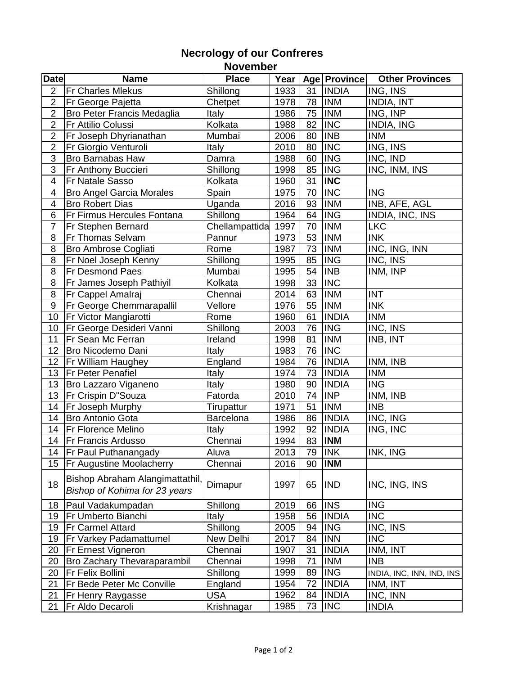## **Necrology of our Confreres November**

| <b>Date</b>              | <b>Name</b>                                                      | <b>Place</b>     |      |    | Year   Age   Province | <b>Other Provinces</b>    |
|--------------------------|------------------------------------------------------------------|------------------|------|----|-----------------------|---------------------------|
| $\overline{2}$           | <b>Fr Charles Mlekus</b>                                         | Shillong         | 1933 | 31 | <b>INDIA</b>          | ING, INS                  |
| $\overline{2}$           | Fr George Pajetta                                                | Chetpet          | 1978 | 78 | <b>INM</b>            | <b>INDIA, INT</b>         |
| $\overline{2}$           | <b>Bro Peter Francis Medaglia</b>                                | <b>Italy</b>     | 1986 | 75 | <b>INM</b>            | ING, INP                  |
| $\overline{2}$           | Fr Attilio Colussi                                               | Kolkata          | 1988 | 82 | <b>INC</b>            | <b>INDIA, ING</b>         |
| $\overline{2}$           | Fr Joseph Dhyrianathan                                           | Mumbai           | 2006 | 80 | <b>INB</b>            | <b>INM</b>                |
| $\mathbf 2$              | Fr Giorgio Venturoli                                             | Italy            | 2010 | 80 | <b>INC</b>            | ING, INS                  |
| $\overline{3}$           | <b>Bro Barnabas Haw</b>                                          | Damra            | 1988 | 60 | <b>ING</b>            | INC, IND                  |
| 3                        | Fr Anthony Buccieri                                              | Shillong         | 1998 | 85 | <b>ING</b>            | INC, INM, INS             |
| 4                        | Fr Natale Sasso                                                  | Kolkata          | 1960 | 31 | <b>INC</b>            |                           |
| $\overline{\mathbf{4}}$  | <b>Bro Angel Garcia Morales</b>                                  | Spain            | 1975 | 70 | <b>INC</b>            | <b>ING</b>                |
| $\overline{\mathcal{A}}$ | <b>Bro Robert Dias</b>                                           | Uganda           | 2016 | 93 | <b>INM</b>            | INB, AFE, AGL             |
| 6                        | Fr Firmus Hercules Fontana                                       | Shillong         | 1964 | 64 | <b>ING</b>            | INDIA, INC, INS           |
| $\overline{7}$           | Fr Stephen Bernard                                               | Chellampattida   | 1997 | 70 | <b>INM</b>            | <b>LKC</b>                |
| 8                        | Fr Thomas Selvam                                                 | Pannur           | 1973 | 53 | <b>INM</b>            | <b>INK</b>                |
| 8                        | <b>Bro Ambrose Cogliati</b>                                      | Rome             | 1987 | 73 | <b>INM</b>            | INC, ING, INN             |
| 8                        | Fr Noel Joseph Kenny                                             | Shillong         | 1995 | 85 | <b>ING</b>            | INC, INS                  |
| 8                        | <b>Fr Desmond Paes</b>                                           | Mumbai           | 1995 | 54 | <b>INB</b>            | INM, INP                  |
| 8                        | Fr James Joseph Pathiyil                                         | Kolkata          | 1998 | 33 | <b>INC</b>            |                           |
| 8                        | Fr Cappel Amalraj                                                | Chennai          | 2014 | 63 | <b>INM</b>            | <b>INT</b>                |
| $9$                      | Fr George Chemmarapallil                                         | Vellore          | 1976 | 55 | <b>INM</b>            | <b>INK</b>                |
| 10                       | Fr Victor Mangiarotti                                            | Rome             | 1960 | 61 | <b>INDIA</b>          | <b>INM</b>                |
| 10                       | Fr George Desideri Vanni                                         | Shillong         | 2003 | 76 | <b>ING</b>            | INC, INS                  |
| 11                       | Fr Sean Mc Ferran                                                | Ireland          | 1998 | 81 | <b>INM</b>            | INB, INT                  |
| 12                       | <b>Bro Nicodemo Dani</b>                                         | <b>Italy</b>     | 1983 | 76 | <b>INC</b>            |                           |
| 12                       | Fr William Haughey                                               | England          | 1984 | 76 | <b>INDIA</b>          | INM, INB                  |
| 13                       | <b>Fr Peter Penafiel</b>                                         | Italy            | 1974 | 73 | <b>INDIA</b>          | <b>INM</b>                |
| 13                       | Bro Lazzaro Viganeno                                             | <b>Italy</b>     | 1980 | 90 | <b>INDIA</b>          | <b>ING</b>                |
| 13                       | Fr Crispin D"Souza                                               | Fatorda          | 2010 | 74 | <b>INP</b>            | INM, INB                  |
| 14                       | Fr Joseph Murphy                                                 | Tirupattur       | 1971 | 51 | <b>INM</b>            | <b>INB</b>                |
| 14                       | Bro Antonio Gota                                                 | <b>Barcelona</b> | 1986 | 86 | <b>INDIA</b>          | INC, ING                  |
| 14                       | <b>Fr Florence Melino</b>                                        | <b>Italy</b>     | 1992 | 92 | <b>INDIA</b>          | ING, INC                  |
| 14                       | <b>Fr Francis Ardusso</b>                                        | Chennai          | 1994 | 83 | <b>INM</b>            |                           |
| 14                       | <b>Fr Paul Puthanangady</b>                                      | Aluva            | 2013 | 79 | <b>INK</b>            | INK, ING                  |
| 15                       | <b>Fr Augustine Moolacherry</b>                                  | Chennai          | 2016 | 90 | <b>INM</b>            |                           |
| 18                       | Bishop Abraham Alangimattathil,<br>Bishop of Kohima for 23 years | Dimapur          | 1997 | 65 | <b>IND</b>            | INC, ING, INS             |
| 18                       | Paul Vadakumpadan                                                | Shillong         | 2019 | 66 | <b>INS</b>            | <b>ING</b>                |
| 19                       | <b>Fr Umberto Bianchi</b>                                        | <b>Italy</b>     | 1958 | 56 | <b>INDIA</b>          | <b>INC</b>                |
| 19                       | <b>Fr Carmel Attard</b>                                          | Shillong         | 2005 | 94 | <b>ING</b>            | INC, INS                  |
| 19                       | <b>Fr Varkey Padamattumel</b>                                    | New Delhi        | 2017 | 84 | <b>INN</b>            | <b>INC</b>                |
| 20                       | <b>Fr Ernest Vigneron</b>                                        | Chennai          | 1907 | 31 | <b>INDIA</b>          | INM, INT                  |
| 20                       | <b>Bro Zachary Thevaraparambil</b>                               | Chennai          | 1998 | 71 | <b>INM</b>            | <b>INB</b>                |
| 20                       | <b>Fr Felix Bollini</b>                                          | Shillong         | 1999 | 89 | <b>ING</b>            | INDIA, INC, INN, IND, INS |
| 21                       | Fr Bede Peter Mc Conville                                        | England          | 1954 | 72 | <b>INDIA</b>          | INM, INT                  |
| 21                       | <b>Fr Henry Raygasse</b>                                         | <b>USA</b>       | 1962 | 84 | <b>INDIA</b>          | INC, INN                  |
| 21                       | <b>Fr Aldo Decaroli</b>                                          | Krishnagar       | 1985 | 73 | <b>INC</b>            | <b>INDIA</b>              |